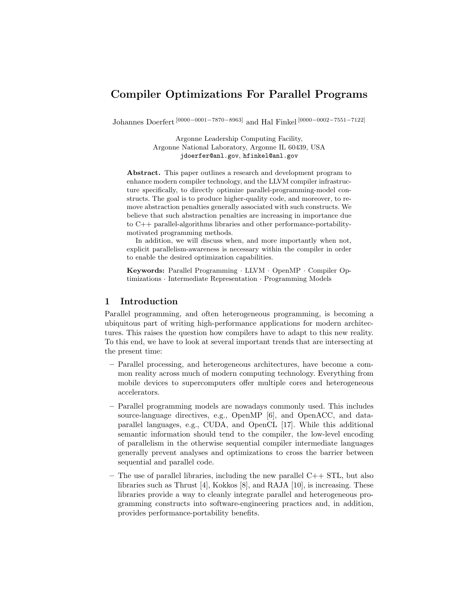# Compiler Optimizations For Parallel Programs

Johannes Doerfert[0000−0001−7870−8963] and Hal Finkel [0000−0002−7551−7122]

Argonne Leadership Computing Facility, Argonne National Laboratory, Argonne IL 60439, USA jdoerfer@anl.gov, hfinkel@anl.gov

Abstract. This paper outlines a research and development program to enhance modern compiler technology, and the LLVM compiler infrastructure specifically, to directly optimize parallel-programming-model constructs. The goal is to produce higher-quality code, and moreover, to remove abstraction penalties generally associated with such constructs. We believe that such abstraction penalties are increasing in importance due to C++ parallel-algorithms libraries and other performance-portabilitymotivated programming methods.

In addition, we will discuss when, and more importantly when not, explicit parallelism-awareness is necessary within the compiler in order to enable the desired optimization capabilities.

Keywords: Parallel Programming · LLVM · OpenMP · Compiler Optimizations · Intermediate Representation · Programming Models

### 1 Introduction

Parallel programming, and often heterogeneous programming, is becoming a ubiquitous part of writing high-performance applications for modern architectures. This raises the question how compilers have to adapt to this new reality. To this end, we have to look at several important trends that are intersecting at the present time:

- Parallel processing, and heterogeneous architectures, have become a common reality across much of modern computing technology. Everything from mobile devices to supercomputers offer multiple cores and heterogeneous accelerators.
- Parallel programming models are nowadays commonly used. This includes source-language directives, e.g., OpenMP [\[6\]](#page-6-0), and OpenACC, and dataparallel languages, e.g., CUDA, and OpenCL [\[17\]](#page-7-0). While this additional semantic information should tend to the compiler, the low-level encoding of parallelism in the otherwise sequential compiler intermediate languages generally prevent analyses and optimizations to cross the barrier between sequential and parallel code.
- $-$  The use of parallel libraries, including the new parallel  $C++$  STL, but also libraries such as Thrust [\[4\]](#page-6-1), Kokkos [\[8\]](#page-6-2), and RAJA [\[10\]](#page-6-3), is increasing. These libraries provide a way to cleanly integrate parallel and heterogeneous programming constructs into software-engineering practices and, in addition, provides performance-portability benefits.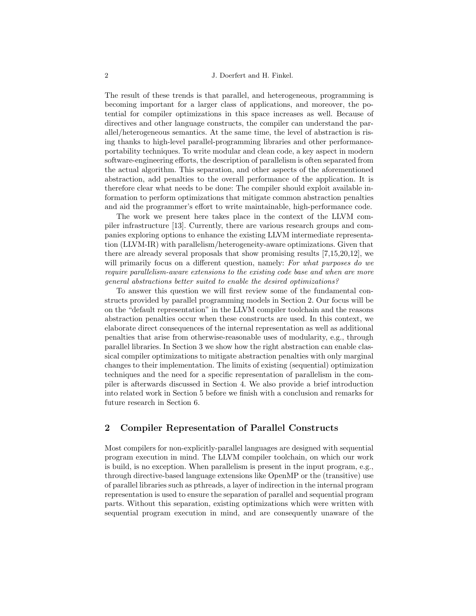#### 2 J. Doerfert and H. Finkel.

The result of these trends is that parallel, and heterogeneous, programming is becoming important for a larger class of applications, and moreover, the potential for compiler optimizations in this space increases as well. Because of directives and other language constructs, the compiler can understand the parallel/heterogeneous semantics. At the same time, the level of abstraction is rising thanks to high-level parallel-programming libraries and other performanceportability techniques. To write modular and clean code, a key aspect in modern software-engineering efforts, the description of parallelism is often separated from the actual algorithm. This separation, and other aspects of the aforementioned abstraction, add penalties to the overall performance of the application. It is therefore clear what needs to be done: The compiler should exploit available information to perform optimizations that mitigate common abstraction penalties and aid the programmer's effort to write maintainable, high-performance code.

The work we present here takes place in the context of the LLVM compiler infrastructure [\[13\]](#page-6-4). Currently, there are various research groups and companies exploring options to enhance the existing LLVM intermediate representation (LLVM-IR) with parallelism/heterogeneity-aware optimizations. Given that there are already several proposals that show promising results [\[7,](#page-6-5)[15,](#page-7-1)[20,](#page-7-2)[12\]](#page-6-6), we will primarily focus on a different question, namely: For what purposes do we require parallelism-aware extensions to the existing code base and when are more general abstractions better suited to enable the desired optimizations?

To answer this question we will first review some of the fundamental constructs provided by parallel programming models in [Section 2.](#page-1-0) Our focus will be on the "default representation" in the LLVM compiler toolchain and the reasons abstraction penalties occur when these constructs are used. In this context, we elaborate direct consequences of the internal representation as well as additional penalties that arise from otherwise-reasonable uses of modularity, e.g., through parallel libraries. In [Section 3](#page-3-0) we show how the right abstraction can enable classical compiler optimizations to mitigate abstraction penalties with only marginal changes to their implementation. The limits of existing (sequential) optimization techniques and the need for a specific representation of parallelism in the compiler is afterwards discussed in [Section 4.](#page-4-0) We also provide a brief introduction into related work in [Section 5](#page-5-0) before we finish with a conclusion and remarks for future research in [Section 6.](#page-5-1)

# <span id="page-1-0"></span>2 Compiler Representation of Parallel Constructs

Most compilers for non-explicitly-parallel languages are designed with sequential program execution in mind. The LLVM compiler toolchain, on which our work is build, is no exception. When parallelism is present in the input program, e.g., through directive-based language extensions like OpenMP or the (transitive) use of parallel libraries such as pthreads, a layer of indirection in the internal program representation is used to ensure the separation of parallel and sequential program parts. Without this separation, existing optimizations which were written with sequential program execution in mind, and are consequently unaware of the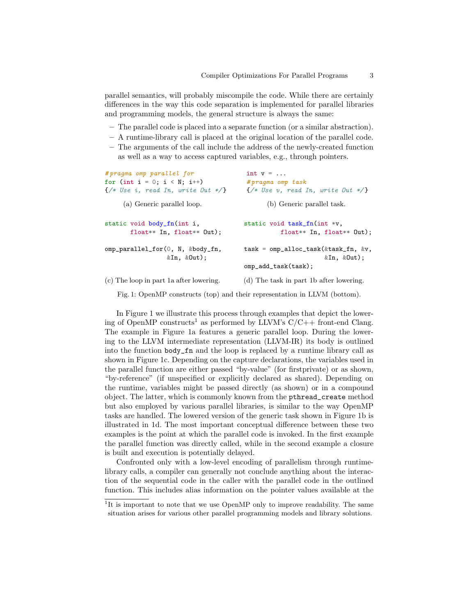parallel semantics, will probably miscompile the code. While there are certainly differences in the way this code separation is implemented for parallel libraries and programming models, the general structure is always the same:

- The parallel code is placed into a separate function (or a similar abstraction).
- A runtime-library call is placed at the original location of the parallel code.
- The arguments of the call include the address of the newly-created function as well as a way to access captured variables, e.g., through pointers.

```
# pragma omp parallel for
for (int i = 0; i < N; i++)
\{\n    /*\n    Use i, read In, write Out *\n    \}(a) Generic parallel loop.
                                               int v = ...# pragma omp task
                                               \{\n    /*\n    Use\n    v, read\n    In, write\n    <math>\n    Out *\n    / \}</math>(b) Generic parallel task.
static void body_fn(int i,
        float** In, float** Out);
omp_parallel_for(0, N, &body_fn,
                    &In, &Out);
(c) The loop in part 1a after lowering.
                                               static void task_fn(int *v,
                                                           float** In, float** Out);
                                              task = opp\_alloc\_task(\&task_fn, \&v,&In, &Out);
                                              omp_add_task(task);
                                              (d) The task in part 1b after lowering.
```
Fig. 1: OpenMP constructs (top) and their representation in LLVM (bottom).

In [Figure 1](#page-2-0) we illustrate this process through examples that depict the lower-ing of OpenMP constructs<sup>[1](#page-2-1)</sup> as performed by LLVM's  $C/C++$  front-end Clang. The example in [Figure 1a](#page-2-0) features a generic parallel loop. During the lowering to the LLVM intermediate representation (LLVM-IR) its body is outlined into the function body\_fn and the loop is replaced by a runtime library call as shown in [Figure 1c.](#page-2-0) Depending on the capture declarations, the variables used in the parallel function are either passed "by-value" (for firstprivate) or as shown, "by-reference" (if unspecified or explicitly declared as shared). Depending on the runtime, variables might be passed directly (as shown) or in a compound object. The latter, which is commonly known from the pthread\_create method but also employed by various parallel libraries, is similar to the way OpenMP tasks are handled. The lowered version of the generic task shown in [Figure 1b](#page-2-0) is illustrated in [1d.](#page-2-0) The most important conceptual difference between these two examples is the point at which the parallel code is invoked. In the first example the parallel function was directly called, while in the second example a closure is built and execution is potentially delayed.

Confronted only with a low-level encoding of parallelism through runtimelibrary calls, a compiler can generally not conclude anything about the interaction of the sequential code in the caller with the parallel code in the outlined function. This includes alias information on the pointer values available at the

<span id="page-2-1"></span><sup>&</sup>lt;sup>1</sup>It is important to note that we use OpenMP only to improve readability. The same situation arises for various other parallel programming models and library solutions.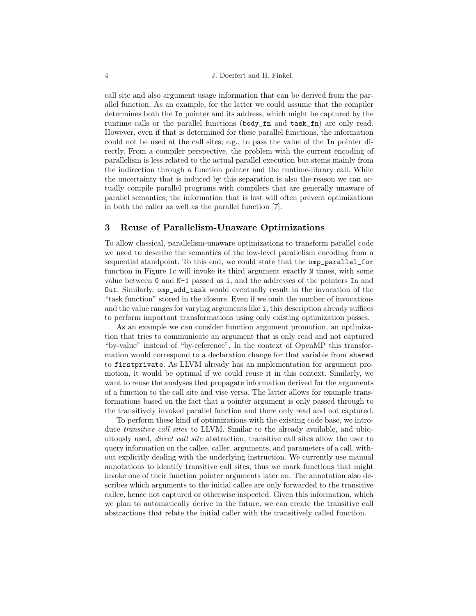call site and also argument usage information that can be derived from the parallel function. As an example, for the latter we could assume that the compiler determines both the In pointer and its address, which might be captured by the runtime calls or the parallel functions (body\_fn and task\_fn) are only read. However, even if that is determined for these parallel functions, the information could not be used at the call sites, e.g., to pass the value of the In pointer directly. From a compiler perspective, the problem with the current encoding of parallelism is less related to the actual parallel execution but stems mainly from the indirection through a function pointer and the runtime-library call. While the uncertainty that is induced by this separation is also the reason we can actually compile parallel programs with compilers that are generally unaware of parallel semantics, the information that is lost will often prevent optimizations in both the caller as well as the parallel function [\[7\]](#page-6-5).

#### <span id="page-3-0"></span>3 Reuse of Parallelism-Unaware Optimizations

To allow classical, parallelism-unaware optimizations to transform parallel code we need to describe the semantics of the low-level parallelism encoding from a sequential standpoint. To this end, we could state that the omp\_parallel\_for function in [Figure 1c](#page-2-0) will invoke its third argument exactly N times, with some value between 0 and N-1 passed as i, and the addresses of the pointers In and Out. Similarly, omp\_add\_task would eventually result in the invocation of the "task function" stored in the closure. Even if we omit the number of invocations and the value ranges for varying arguments like i, this description already suffices to perform important transformations using only existing optimization passes.

As an example we can consider function argument promotion, an optimization that tries to communicate an argument that is only read and not captured "by-value" instead of "by-reference". In the context of OpenMP this transformation would correspond to a declaration change for that variable from shared to firstprivate. As LLVM already has an implementation for argument promotion, it would be optimal if we could reuse it in this context. Similarly, we want to reuse the analyses that propagate information derived for the arguments of a function to the call site and vise versa. The latter allows for example transformations based on the fact that a pointer argument is only passed through to the transitively invoked parallel function and there only read and not captured.

To perform these kind of optimizations with the existing code base, we introduce transitive call sites to LLVM. Similar to the already available, and ubiquitously used, direct call site abstraction, transitive call sites allow the user to query information on the callee, caller, arguments, and parameters of a call, without explicitly dealing with the underlying instruction. We currently use manual annotations to identify transitive call sites, thus we mark functions that might invoke one of their function pointer arguments later on. The annotation also describes which arguments to the initial callee are only forwarded to the transitive callee, hence not captured or otherwise inspected. Given this information, which we plan to automatically derive in the future, we can create the transitive call abstractions that relate the initial caller with the transitively called function.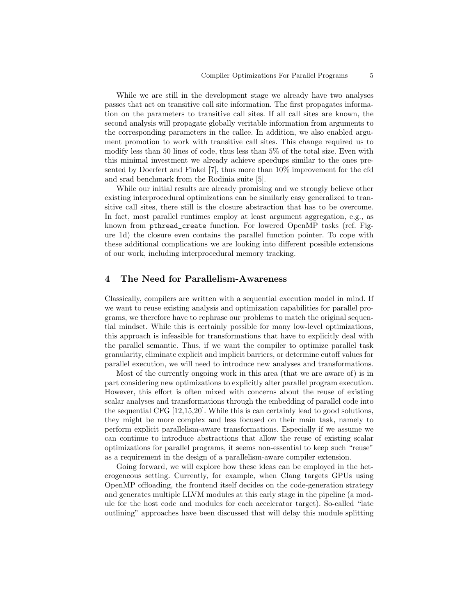While we are still in the development stage we already have two analyses passes that act on transitive call site information. The first propagates information on the parameters to transitive call sites. If all call sites are known, the second analysis will propagate globally veritable information from arguments to the corresponding parameters in the callee. In addition, we also enabled argument promotion to work with transitive call sites. This change required us to modify less than 50 lines of code, thus less than 5% of the total size. Even with this minimal investment we already achieve speedups similar to the ones presented by Doerfert and Finkel [\[7\]](#page-6-5), thus more than 10% improvement for the cfd and srad benchmark from the Rodinia suite [\[5\]](#page-6-7).

While our initial results are already promising and we strongly believe other existing interprocedural optimizations can be similarly easy generalized to transitive call sites, there still is the closure abstraction that has to be overcome. In fact, most parallel runtimes employ at least argument aggregation, e.g., as known from pthread\_create function. For lowered OpenMP tasks (ref. [Fig](#page-2-0)[ure 1d\)](#page-2-0) the closure even contains the parallel function pointer. To cope with these additional complications we are looking into different possible extensions of our work, including interprocedural memory tracking.

### <span id="page-4-0"></span>4 The Need for Parallelism-Awareness

Classically, compilers are written with a sequential execution model in mind. If we want to reuse existing analysis and optimization capabilities for parallel programs, we therefore have to rephrase our problems to match the original sequential mindset. While this is certainly possible for many low-level optimizations, this approach is infeasible for transformations that have to explicitly deal with the parallel semantic. Thus, if we want the compiler to optimize parallel task granularity, eliminate explicit and implicit barriers, or determine cutoff values for parallel execution, we will need to introduce new analyses and transformations.

Most of the currently ongoing work in this area (that we are aware of) is in part considering new optimizations to explicitly alter parallel program execution. However, this effort is often mixed with concerns about the reuse of existing scalar analyses and transformations through the embedding of parallel code into the sequential CFG [\[12](#page-6-6)[,15,](#page-7-1)[20\]](#page-7-2). While this is can certainly lead to good solutions, they might be more complex and less focused on their main task, namely to perform explicit parallelism-aware transformations. Especially if we assume we can continue to introduce abstractions that allow the reuse of existing scalar optimizations for parallel programs, it seems non-essential to keep such "reuse" as a requirement in the design of a parallelism-aware compiler extension.

Going forward, we will explore how these ideas can be employed in the heterogeneous setting. Currently, for example, when Clang targets GPUs using OpenMP offloading, the frontend itself decides on the code-generation strategy and generates multiple LLVM modules at this early stage in the pipeline (a module for the host code and modules for each accelerator target). So-called "late outlining" approaches have been discussed that will delay this module splitting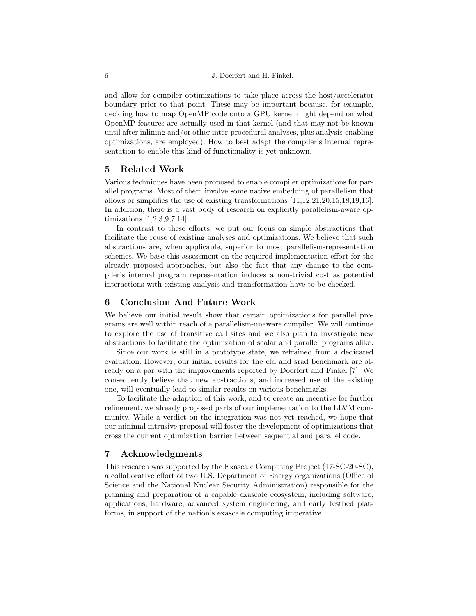and allow for compiler optimizations to take place across the host/accelerator boundary prior to that point. These may be important because, for example, deciding how to map OpenMP code onto a GPU kernel might depend on what OpenMP features are actually used in that kernel (and that may not be known until after inlining and/or other inter-procedural analyses, plus analysis-enabling optimizations, are employed). How to best adapt the compiler's internal representation to enable this kind of functionality is yet unknown.

### <span id="page-5-0"></span>5 Related Work

Various techniques have been proposed to enable compiler optimizations for parallel programs. Most of them involve some native embedding of parallelism that allows or simplifies the use of existing transformations [\[11,](#page-6-8)[12,](#page-6-6)[21](#page-7-3)[,20,](#page-7-2)[15,](#page-7-1)[18,](#page-7-4)[19,](#page-7-5)[16\]](#page-7-6). In addition, there is a vast body of research on explicitly parallelism-aware optimizations [\[1,](#page-6-9)[2,](#page-6-10)[3,](#page-6-11)[9](#page-6-12)[,7,](#page-6-5)[14\]](#page-7-7).

In contrast to these efforts, we put our focus on simple abstractions that facilitate the reuse of existing analyses and optimizations. We believe that such abstractions are, when applicable, superior to most parallelism-representation schemes. We base this assessment on the required implementation effort for the already proposed approaches, but also the fact that any change to the compiler's internal program representation induces a non-trivial cost as potential interactions with existing analysis and transformation have to be checked.

# <span id="page-5-1"></span>6 Conclusion And Future Work

We believe our initial result show that certain optimizations for parallel programs are well within reach of a parallelism-unaware compiler. We will continue to explore the use of transitive call sites and we also plan to investigate new abstractions to facilitate the optimization of scalar and parallel programs alike.

Since our work is still in a prototype state, we refrained from a dedicated evaluation. However, our initial results for the cfd and srad benchmark are already on a par with the improvements reported by Doerfert and Finkel [\[7\]](#page-6-5). We consequently believe that new abstractions, and increased use of the existing one, will eventually lead to similar results on various benchmarks.

To facilitate the adaption of this work, and to create an incentive for further refinement, we already proposed parts of our implementation to the LLVM community. While a verdict on the integration was not yet reached, we hope that our minimal intrusive proposal will foster the development of optimizations that cross the current optimization barrier between sequential and parallel code.

#### 7 Acknowledgments

This research was supported by the Exascale Computing Project (17-SC-20-SC), a collaborative effort of two U.S. Department of Energy organizations (Office of Science and the National Nuclear Security Administration) responsible for the planning and preparation of a capable exascale ecosystem, including software, applications, hardware, advanced system engineering, and early testbed platforms, in support of the nation's exascale computing imperative.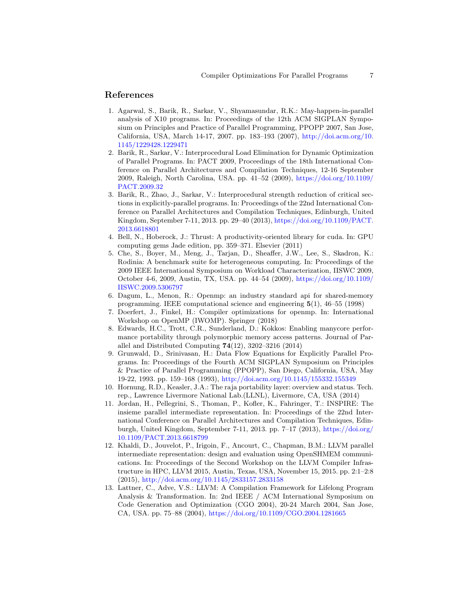# References

- <span id="page-6-9"></span>1. Agarwal, S., Barik, R., Sarkar, V., Shyamasundar, R.K.: May-happen-in-parallel analysis of X10 programs. In: Proceedings of the 12th ACM SIGPLAN Symposium on Principles and Practice of Parallel Programming, PPOPP 2007, San Jose, California, USA, March 14-17, 2007. pp. 183–193 (2007), [http://doi.acm.org/10.](http://doi.acm.org/10.1145/1229428.1229471) [1145/1229428.1229471](http://doi.acm.org/10.1145/1229428.1229471)
- <span id="page-6-10"></span>2. Barik, R., Sarkar, V.: Interprocedural Load Elimination for Dynamic Optimization of Parallel Programs. In: PACT 2009, Proceedings of the 18th International Conference on Parallel Architectures and Compilation Techniques, 12-16 September 2009, Raleigh, North Carolina, USA. pp. 41–52 (2009), [https://doi.org/10.1109/](https://doi.org/10.1109/PACT.2009.32) [PACT.2009.32](https://doi.org/10.1109/PACT.2009.32)
- <span id="page-6-11"></span>3. Barik, R., Zhao, J., Sarkar, V.: Interprocedural strength reduction of critical sections in explicitly-parallel programs. In: Proceedings of the 22nd International Conference on Parallel Architectures and Compilation Techniques, Edinburgh, United Kingdom, September 7-11, 2013. pp. 29–40 (2013), [https://doi.org/10.1109/PACT.](https://doi.org/10.1109/PACT.2013.6618801) [2013.6618801](https://doi.org/10.1109/PACT.2013.6618801)
- <span id="page-6-1"></span>4. Bell, N., Hoberock, J.: Thrust: A productivity-oriented library for cuda. In: GPU computing gems Jade edition, pp. 359–371. Elsevier (2011)
- <span id="page-6-7"></span>5. Che, S., Boyer, M., Meng, J., Tarjan, D., Sheaffer, J.W., Lee, S., Skadron, K.: Rodinia: A benchmark suite for heterogeneous computing. In: Proceedings of the 2009 IEEE International Symposium on Workload Characterization, IISWC 2009, October 4-6, 2009, Austin, TX, USA. pp. 44–54 (2009), [https://doi.org/10.1109/](https://doi.org/10.1109/IISWC.2009.5306797) [IISWC.2009.5306797](https://doi.org/10.1109/IISWC.2009.5306797)
- <span id="page-6-0"></span>6. Dagum, L., Menon, R.: Openmp: an industry standard api for shared-memory programming. IEEE computational science and engineering 5(1), 46–55 (1998)
- <span id="page-6-5"></span>7. Doerfert, J., Finkel, H.: Compiler optimizations for openmp. In: International Workshop on OpenMP (IWOMP). Springer (2018)
- <span id="page-6-2"></span>8. Edwards, H.C., Trott, C.R., Sunderland, D.: Kokkos: Enabling manycore performance portability through polymorphic memory access patterns. Journal of Parallel and Distributed Computing 74(12), 3202–3216 (2014)
- <span id="page-6-12"></span>9. Grunwald, D., Srinivasan, H.: Data Flow Equations for Explicitly Parallel Programs. In: Proceedings of the Fourth ACM SIGPLAN Symposium on Principles & Practice of Parallel Programming (PPOPP), San Diego, California, USA, May 19-22, 1993. pp. 159–168 (1993), <http://doi.acm.org/10.1145/155332.155349>
- <span id="page-6-3"></span>10. Hornung, R.D., Keasler, J.A.: The raja portability layer: overview and status. Tech. rep., Lawrence Livermore National Lab.(LLNL), Livermore, CA, USA (2014)
- <span id="page-6-8"></span>11. Jordan, H., Pellegrini, S., Thoman, P., Kofler, K., Fahringer, T.: INSPIRE: The insieme parallel intermediate representation. In: Proceedings of the 22nd International Conference on Parallel Architectures and Compilation Techniques, Edinburgh, United Kingdom, September 7-11, 2013. pp. 7–17 (2013), [https://doi.org/](https://doi.org/10.1109/PACT.2013.6618799) [10.1109/PACT.2013.6618799](https://doi.org/10.1109/PACT.2013.6618799)
- <span id="page-6-6"></span>12. Khaldi, D., Jouvelot, P., Irigoin, F., Ancourt, C., Chapman, B.M.: LLVM parallel intermediate representation: design and evaluation using OpenSHMEM communications. In: Proceedings of the Second Workshop on the LLVM Compiler Infrastructure in HPC, LLVM 2015, Austin, Texas, USA, November 15, 2015. pp. 2:1–2:8 (2015), <http://doi.acm.org/10.1145/2833157.2833158>
- <span id="page-6-4"></span>13. Lattner, C., Adve, V.S.: LLVM: A Compilation Framework for Lifelong Program Analysis & Transformation. In: 2nd IEEE / ACM International Symposium on Code Generation and Optimization (CGO 2004), 20-24 March 2004, San Jose, CA, USA. pp. 75–88 (2004), <https://doi.org/10.1109/CGO.2004.1281665>